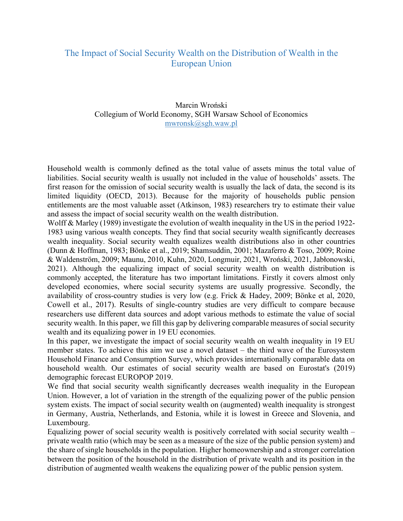## The Impact of Social Security Wealth on the Distribution of Wealth in the European Union

Marcin Wroński Collegium of World Economy, SGH Warsaw School of Economics mwronsk@sgh.waw.pl

Household wealth is commonly defined as the total value of assets minus the total value of liabilities. Social security wealth is usually not included in the value of households' assets. The first reason for the omission of social security wealth is usually the lack of data, the second is its limited liquidity (OECD, 2013). Because for the majority of households public pension entitlements are the most valuable asset (Atkinson, 1983) researchers try to estimate their value and assess the impact of social security wealth on the wealth distribution.

Wolff & Marley (1989) investigate the evolution of wealth inequality in the US in the period 1922-1983 using various wealth concepts. They find that social security wealth significantly decreases wealth inequality. Social security wealth equalizes wealth distributions also in other countries (Dunn & Hoffman, 1983; Bönke et al., 2019; Shamsuddin, 2001; Mazaferro & Toso, 2009; Roine & Waldenström, 2009; Maunu, 2010, Kuhn, 2020, Longmuir, 2021, Wroński, 2021, Jabłonowski, 2021). Although the equalizing impact of social security wealth on wealth distribution is commonly accepted, the literature has two important limitations. Firstly it covers almost only developed economies, where social security systems are usually progressive. Secondly, the availability of cross-country studies is very low (e.g. Frick & Hadey, 2009; Bönke et al, 2020, Cowell et al., 2017). Results of single-country studies are very difficult to compare because researchers use different data sources and adopt various methods to estimate the value of social security wealth. In this paper, we fill this gap by delivering comparable measures of social security wealth and its equalizing power in 19 EU economies.

In this paper, we investigate the impact of social security wealth on wealth inequality in 19 EU member states. To achieve this aim we use a novel dataset – the third wave of the Eurosystem Household Finance and Consumption Survey, which provides internationally comparable data on household wealth. Our estimates of social security wealth are based on Eurostat's (2019) demographic forecast EUROPOP 2019.

We find that social security wealth significantly decreases wealth inequality in the European Union. However, a lot of variation in the strength of the equalizing power of the public pension system exists. The impact of social security wealth on (augmented) wealth inequality is strongest in Germany, Austria, Netherlands, and Estonia, while it is lowest in Greece and Slovenia, and Luxembourg.

Equalizing power of social security wealth is positively correlated with social security wealth – private wealth ratio (which may be seen as a measure of the size of the public pension system) and the share of single households in the population. Higher homeownership and a stronger correlation between the position of the household in the distribution of private wealth and its position in the distribution of augmented wealth weakens the equalizing power of the public pension system.